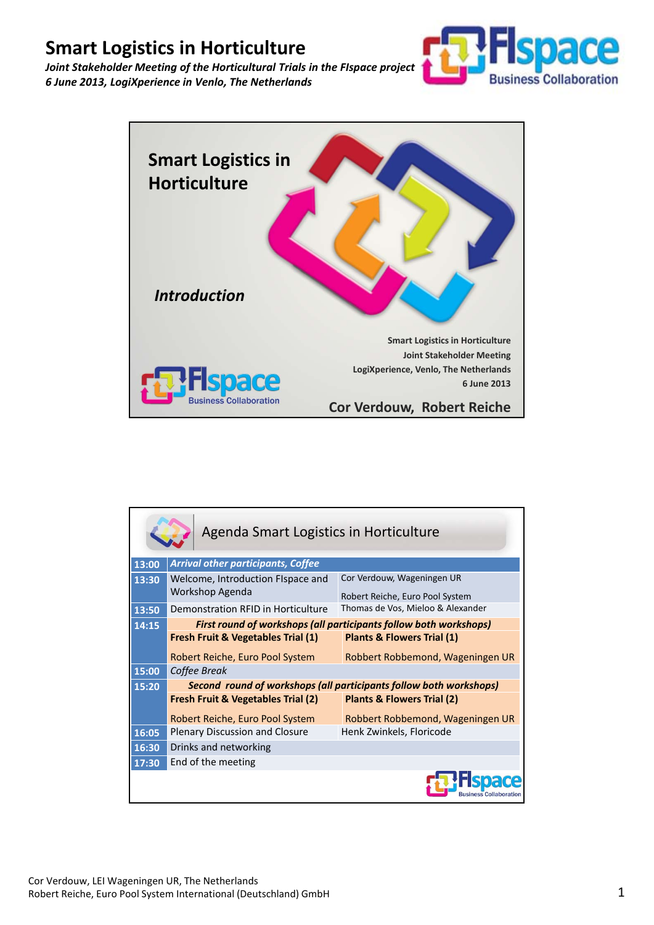



| Agenda Smart Logistics in Horticulture |                                                                    |                                       |
|----------------------------------------|--------------------------------------------------------------------|---------------------------------------|
| 13:00                                  | <b>Arrival other participants, Coffee</b>                          |                                       |
| 13:30                                  | Welcome, Introduction Fispace and                                  | Cor Verdouw, Wageningen UR            |
|                                        | Workshop Agenda                                                    | Robert Reiche, Euro Pool System       |
| 13:50                                  | Demonstration RFID in Horticulture                                 | Thomas de Vos, Mieloo & Alexander     |
| 14:15                                  | First round of workshops (all participants follow both workshops)  |                                       |
|                                        | <b>Fresh Fruit &amp; Vegetables Trial (1)</b>                      | <b>Plants &amp; Flowers Trial (1)</b> |
|                                        | Robert Reiche, Euro Pool System                                    | Robbert Robbemond, Wageningen UR      |
| 15:00                                  | Coffee Break                                                       |                                       |
| 15:20                                  | Second round of workshops (all participants follow both workshops) |                                       |
|                                        | <b>Fresh Fruit &amp; Vegetables Trial (2)</b>                      | <b>Plants &amp; Flowers Trial (2)</b> |
|                                        | Robert Reiche, Euro Pool System                                    | Robbert Robbemond, Wageningen UR      |
| 16:05                                  | Plenary Discussion and Closure                                     | Henk Zwinkels, Floricode              |
| 16:30                                  | Drinks and networking                                              |                                       |
| 17:30                                  | End of the meeting                                                 |                                       |
|                                        |                                                                    |                                       |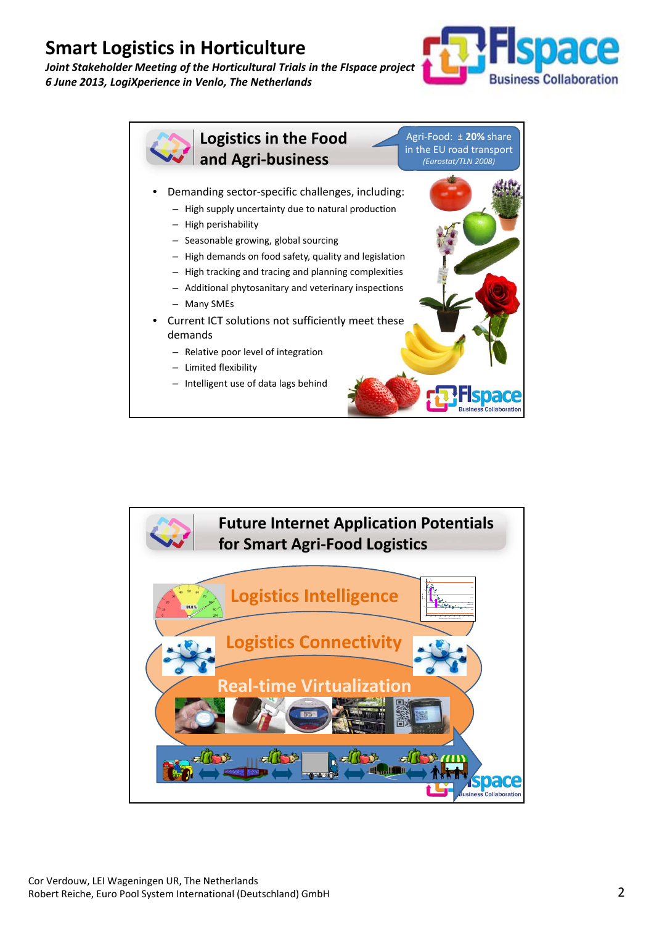



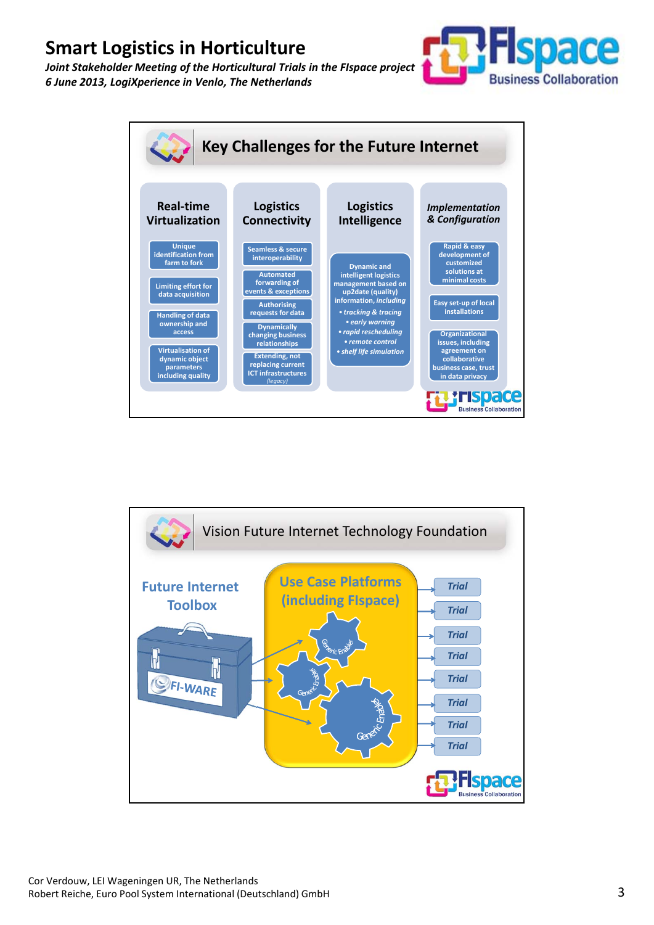



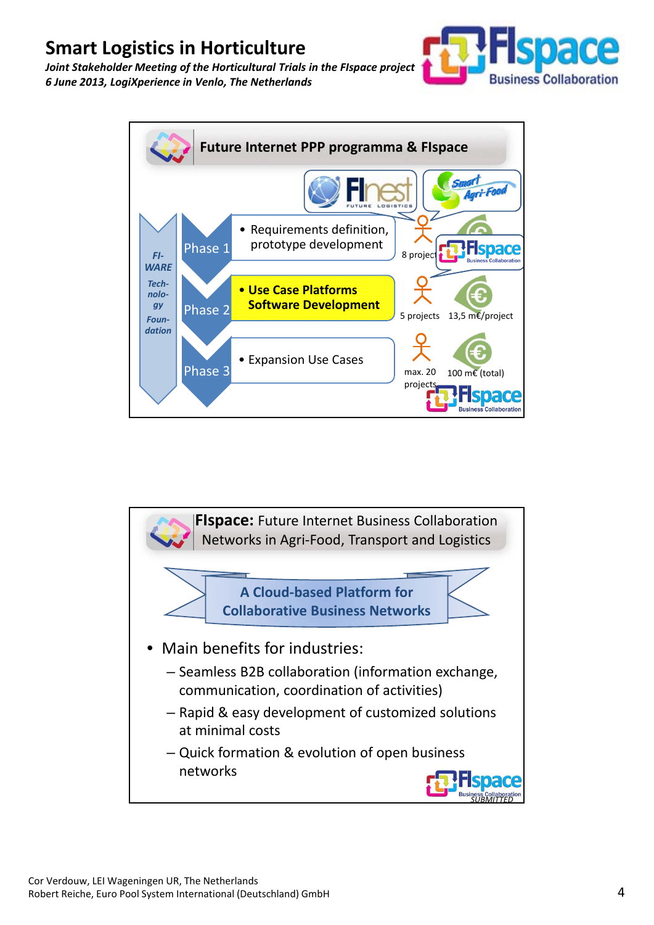



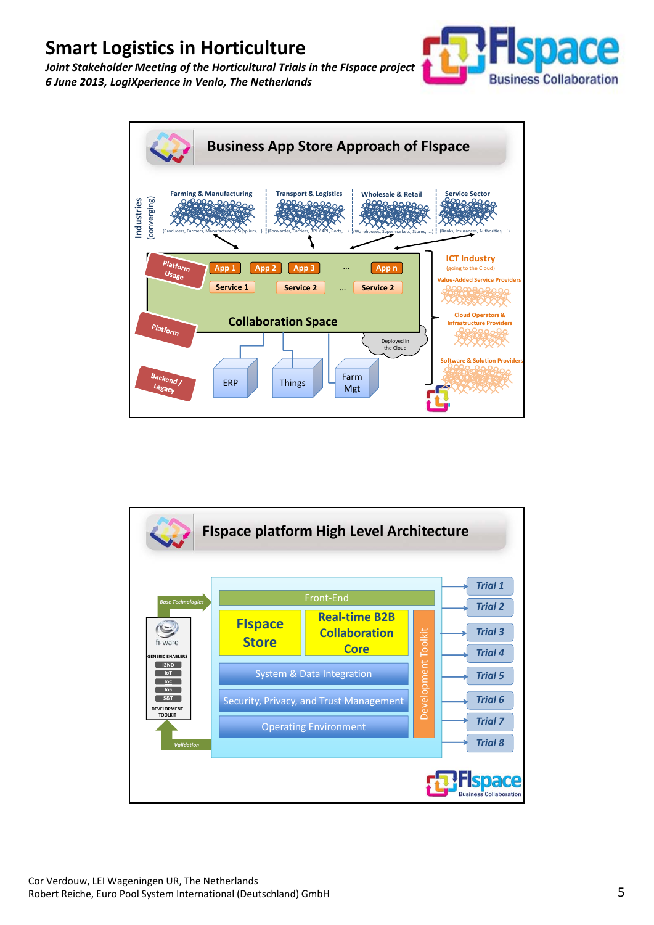



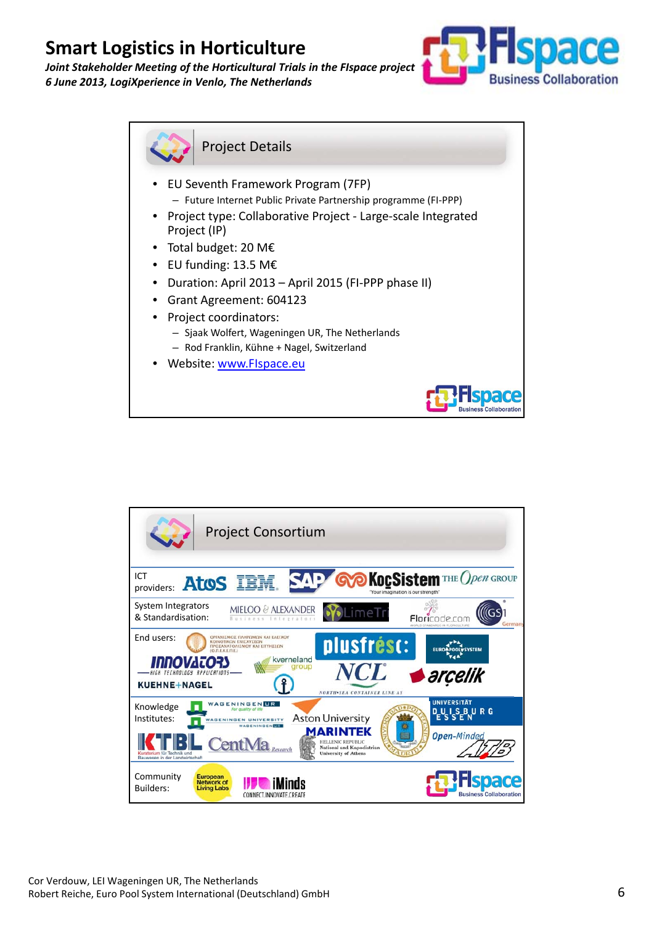



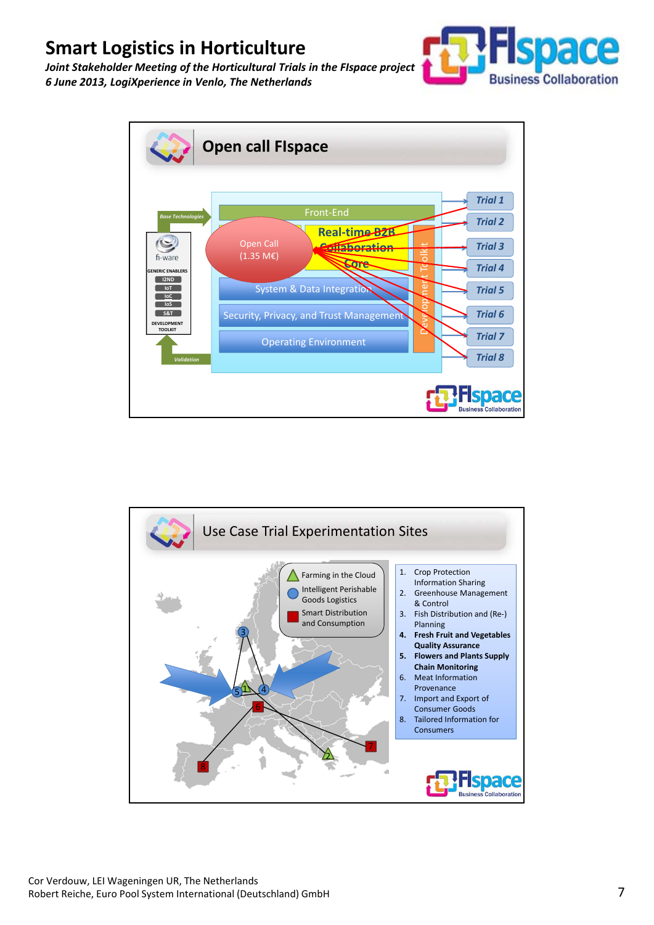



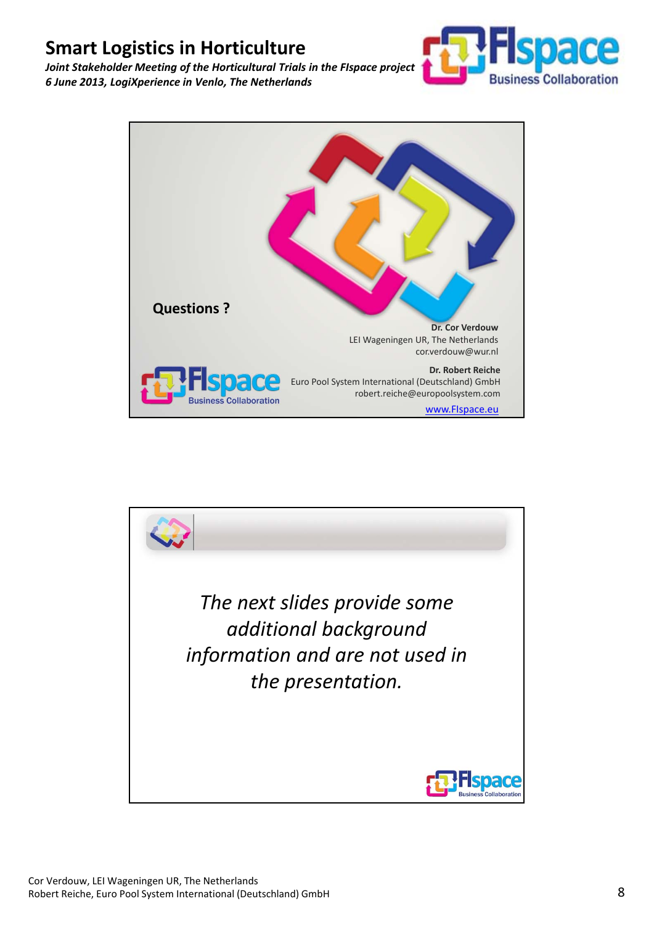



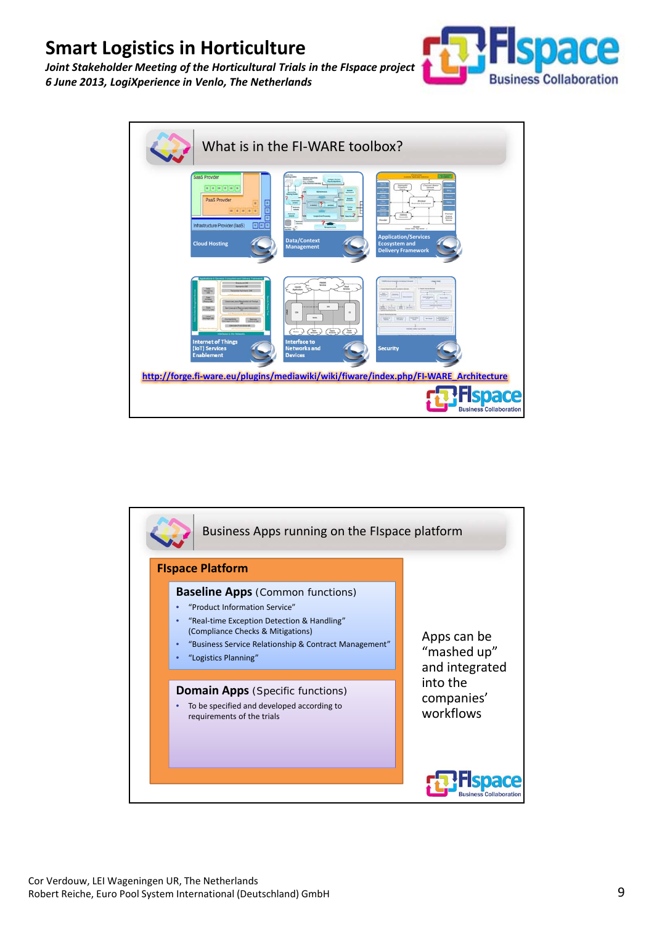